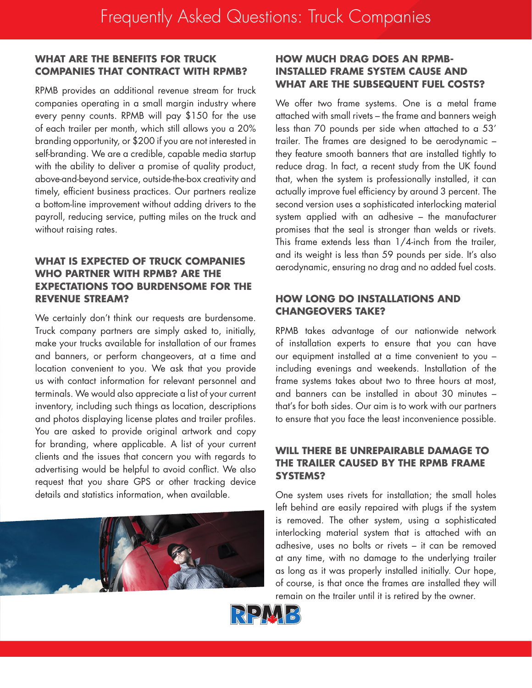# **WHAT ARE THE BENEFITS FOR TRUCK COMPANIES THAT CONTRACT WITH RPMB?**

RPMB provides an additional revenue stream for truck companies operating in a small margin industry where every penny counts. RPMB will pay \$150 for the use of each trailer per month, which still allows you a 20% branding opportunity, or \$200 if you are not interested in self-branding. We are a credible, capable media startup with the ability to deliver a promise of quality product, above-and-beyond service, outside-the-box creativity and timely, efficient business practices. Our partners realize a bottom-line improvement without adding drivers to the payroll, reducing service, putting miles on the truck and without raising rates.

### **WHAT IS EXPECTED OF TRUCK COMPANIES WHO PARTNER WITH RPMB? ARE THE EXPECTATIONS TOO BURDENSOME FOR THE REVENUE STREAM?**

We certainly don't think our requests are burdensome. Truck company partners are simply asked to, initially, make your trucks available for installation of our frames and banners, or perform changeovers, at a time and location convenient to you. We ask that you provide us with contact information for relevant personnel and terminals. We would also appreciate a list of your current inventory, including such things as location, descriptions and photos displaying license plates and trailer profiles. You are asked to provide original artwork and copy for branding, where applicable. A list of your current clients and the issues that concern you with regards to advertising would be helpful to avoid conflict. We also request that you share GPS or other tracking device details and statistics information, when available.



# **HOW MUCH DRAG DOES AN RPMB-INSTALLED FRAME SYSTEM CAUSE AND WHAT ARE THE SUBSEQUENT FUEL COSTS?**

We offer two frame systems. One is a metal frame attached with small rivets – the frame and banners weigh less than 70 pounds per side when attached to a 53' trailer. The frames are designed to be aerodynamic – they feature smooth banners that are installed tightly to reduce drag. In fact, a recent study from the UK found that, when the system is professionally installed, it can actually improve fuel efficiency by around 3 percent. The second version uses a sophisticated interlocking material system applied with an adhesive – the manufacturer promises that the seal is stronger than welds or rivets. This frame extends less than 1/4-inch from the trailer, and its weight is less than 59 pounds per side. It's also aerodynamic, ensuring no drag and no added fuel costs.

# **HOW LONG DO INSTALLATIONS AND CHANGEOVERS TAKE?**

RPMB takes advantage of our nationwide network of installation experts to ensure that you can have our equipment installed at a time convenient to you – including evenings and weekends. Installation of the frame systems takes about two to three hours at most, and banners can be installed in about 30 minutes – that's for both sides. Our aim is to work with our partners to ensure that you face the least inconvenience possible.

# **WILL THERE BE UNREPAIRABLE DAMAGE TO THE TRAILER CAUSED BY THE RPMB FRAME SYSTEMS?**

One system uses rivets for installation; the small holes left behind are easily repaired with plugs if the system is removed. The other system, using a sophisticated interlocking material system that is attached with an adhesive, uses no bolts or rivets – it can be removed at any time, with no damage to the underlying trailer as long as it was properly installed initially. Our hope, of course, is that once the frames are installed they will remain on the trailer until it is retired by the owner.

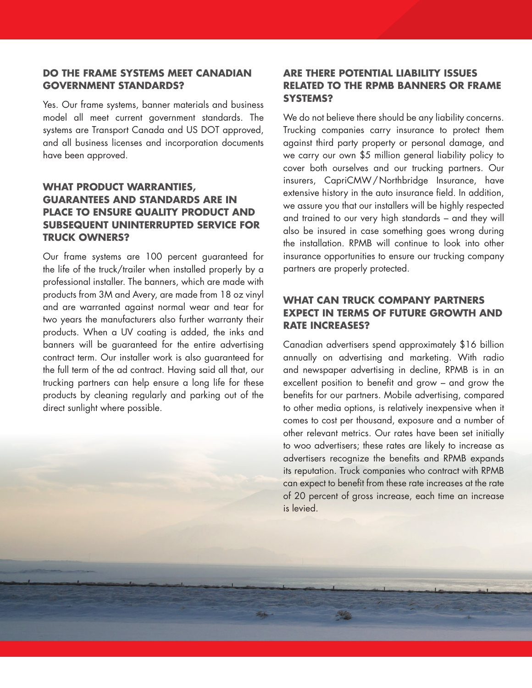### **DO THE FRAME SYSTEMS MEET CANADIAN GOVERNMENT STANDARDS?**

Yes. Our frame systems, banner materials and business model all meet current government standards. The systems are Transport Canada and US DOT approved, and all business licenses and incorporation documents have been approved.

# **WHAT PRODUCT WARRANTIES, GUARANTEES AND STANDARDS ARE IN PLACE TO ENSURE QUALITY PRODUCT AND SUBSEQUENT UNINTERRUPTED SERVICE FOR TRUCK OWNERS?**

Our frame systems are 100 percent guaranteed for the life of the truck/trailer when installed properly by a professional installer. The banners, which are made with products from 3M and Avery, are made from 18 oz vinyl and are warranted against normal wear and tear for two years the manufacturers also further warranty their products. When a UV coating is added, the inks and banners will be guaranteed for the entire advertising contract term. Our installer work is also guaranteed for the full term of the ad contract. Having said all that, our trucking partners can help ensure a long life for these products by cleaning regularly and parking out of the direct sunlight where possible.

### **ARE THERE POTENTIAL LIABILITY ISSUES RELATED TO THE RPMB BANNERS OR FRAME SYSTEMS?**

We do not believe there should be any liability concerns. Trucking companies carry insurance to protect them against third party property or personal damage, and we carry our own \$5 million general liability policy to cover both ourselves and our trucking partners. Our insurers, CapriCMW/Northbridge Insurance, have extensive history in the auto insurance field. In addition, we assure you that our installers will be highly respected and trained to our very high standards – and they will also be insured in case something goes wrong during the installation. RPMB will continue to look into other insurance opportunities to ensure our trucking company partners are properly protected.

### **WHAT CAN TRUCK COMPANY PARTNERS EXPECT IN TERMS OF FUTURE GROWTH AND RATE INCREASES?**

Canadian advertisers spend approximately \$16 billion annually on advertising and marketing. With radio and newspaper advertising in decline, RPMB is in an excellent position to benefit and grow – and grow the benefits for our partners. Mobile advertising, compared to other media options, is relatively inexpensive when it comes to cost per thousand, exposure and a number of other relevant metrics. Our rates have been set initially to woo advertisers; these rates are likely to increase as advertisers recognize the benefits and RPMB expands its reputation. Truck companies who contract with RPMB can expect to benefit from these rate increases at the rate of 20 percent of gross increase, each time an increase is levied.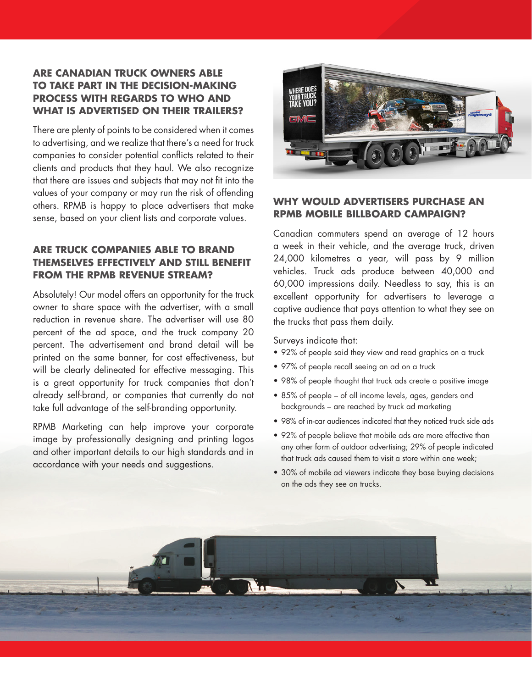# **ARE CANADIAN TRUCK OWNERS ABLE TO TAKE PART IN THE DECISION-MAKING PROCESS WITH REGARDS TO WHO AND WHAT IS ADVERTISED ON THEIR TRAILERS?**

There are plenty of points to be considered when it comes to advertising, and we realize that there's a need for truck companies to consider potential conflicts related to their clients and products that they haul. We also recognize that there are issues and subjects that may not fit into the values of your company or may run the risk of offending others. RPMB is happy to place advertisers that make sense, based on your client lists and corporate values.

# **ARE TRUCK COMPANIES ABLE TO BRAND THEMSELVES EFFECTIVELY AND STILL BENEFIT FROM THE RPMB REVENUE STREAM?**

Absolutely! Our model offers an opportunity for the truck owner to share space with the advertiser, with a small reduction in revenue share. The advertiser will use 80 percent of the ad space, and the truck company 20 percent. The advertisement and brand detail will be printed on the same banner, for cost effectiveness, but will be clearly delineated for effective messaging. This is a great opportunity for truck companies that don't already self-brand, or companies that currently do not take full advantage of the self-branding opportunity.

RPMB Marketing can help improve your corporate image by professionally designing and printing logos and other important details to our high standards and in accordance with your needs and suggestions.



### **WHY WOULD ADVERTISERS PURCHASE AN RPMB MOBILE BILLBOARD CAMPAIGN?**

Canadian commuters spend an average of 12 hours a week in their vehicle, and the average truck, driven 24,000 kilometres a year, will pass by 9 million vehicles. Truck ads produce between 40,000 and 60,000 impressions daily. Needless to say, this is an excellent opportunity for advertisers to leverage a captive audience that pays attention to what they see on the trucks that pass them daily.

Surveys indicate that:

- 92% of people said they view and read graphics on a truck
- 97% of people recall seeing an ad on a truck
- 98% of people thought that truck ads create a positive image
- 85% of people of all income levels, ages, genders and backgrounds – are reached by truck ad marketing
- 98% of in-car audiences indicated that they noticed truck side ads
- 92% of people believe that mobile ads are more effective than any other form of outdoor advertising; 29% of people indicated that truck ads caused them to visit a store within one week;
- 30% of mobile ad viewers indicate they base buying decisions on the ads they see on trucks.